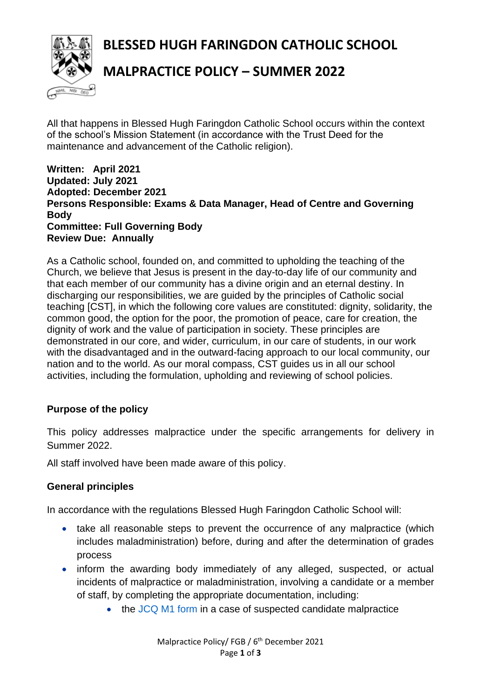**BLESSED HUGH FARINGDON CATHOLIC SCHOOL**



# **MALPRACTICE POLICY – SUMMER 2022**

All that happens in Blessed Hugh Faringdon Catholic School occurs within the context of the school's Mission Statement (in accordance with the Trust Deed for the maintenance and advancement of the Catholic religion).

#### **Written: April 2021 Updated: July 2021 Adopted: December 2021 Persons Responsible: Exams & Data Manager, Head of Centre and Governing Body Committee: Full Governing Body Review Due: Annually**

As a Catholic school, founded on, and committed to upholding the teaching of the Church, we believe that Jesus is present in the day-to-day life of our community and that each member of our community has a divine origin and an eternal destiny. In discharging our responsibilities, we are guided by the principles of Catholic social teaching [CST], in which the following core values are constituted: dignity, solidarity, the common good, the option for the poor, the promotion of peace, care for creation, the dignity of work and the value of participation in society. These principles are demonstrated in our core, and wider, curriculum, in our care of students, in our work with the disadvantaged and in the outward-facing approach to our local community, our nation and to the world. As our moral compass, CST guides us in all our school activities, including the formulation, upholding and reviewing of school policies.

### **Purpose of the policy**

This policy addresses malpractice under the specific arrangements for delivery in Summer 2022.

All staff involved have been made aware of this policy.

# **General principles**

In accordance with the regulations Blessed Hugh Faringdon Catholic School will:

- take all reasonable steps to prevent the occurrence of any malpractice (which includes maladministration) before, during and after the determination of grades process
- inform the awarding body immediately of any alleged, suspected, or actual incidents of malpractice or maladministration, involving a candidate or a member of staff, by completing the appropriate documentation, including:
	- the [JCQ M1 form](https://www.jcq.org.uk/exams-office/malpractice/) in a case of suspected candidate malpractice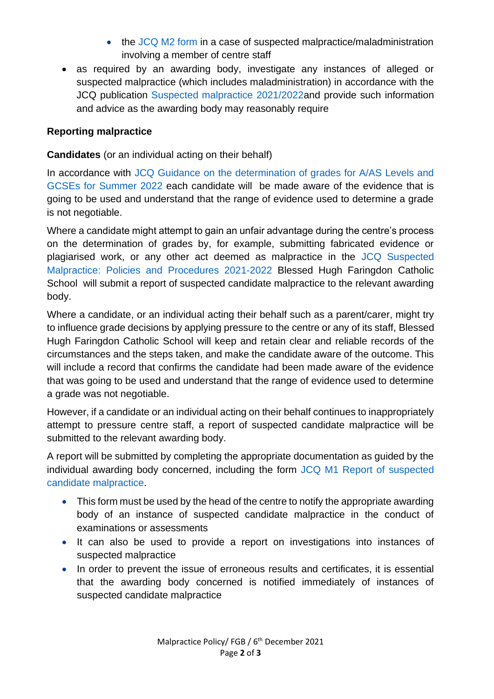- the [JCQ M2 form](https://www.jcq.org.uk/exams-office/malpractice/) in a case of suspected malpractice/maladministration involving a member of centre staff
- as required by an awarding body, investigate any instances of alleged or suspected malpractice (which includes maladministration) in accordance with the JCQ publication Suspected malpractice 2021/2022and provide such information and advice as the awarding body may reasonably require

#### **Reporting malpractice**

**Candidates** (or an individual acting on their behalf)

In accordance with JCQ Guidance on the determination of grades for A/AS Levels and [GCSEs for Summer 2022](https://www.jcq.org.uk/summer-2021-arrangements/) each candidate will be made aware of the evidence that is going to be used and understand that the range of evidence used to determine a grade is not negotiable.

Where a candidate might attempt to gain an unfair advantage during the centre's process on the determination of grades by, for example, submitting fabricated evidence or plagiarised work, or any other act deemed as malpractice in the [JCQ Suspected](https://www.jcq.org.uk/exams-office/malpractice/)  [Malpractice: Policies and Procedures 2021-2022 B](https://www.jcq.org.uk/exams-office/malpractice/)lessed Hugh Faringdon Catholic School will submit a report of suspected candidate malpractice to the relevant awarding body.

Where a candidate, or an individual acting their behalf such as a parent/carer, might try to influence grade decisions by applying pressure to the centre or any of its staff, Blessed Hugh Faringdon Catholic School will keep and retain clear and reliable records of the circumstances and the steps taken, and make the candidate aware of the outcome. This will include a record that confirms the candidate had been made aware of the evidence that was going to be used and understand that the range of evidence used to determine a grade was not negotiable.

However, if a candidate or an individual acting on their behalf continues to inappropriately attempt to pressure centre staff, a report of suspected candidate malpractice will be submitted to the relevant awarding body.

A report will be submitted by completing the appropriate documentation as guided by the individual awarding body concerned, including the form [JCQ M1 Report of suspected](https://www.jcq.org.uk/exams-office/malpractice/)  [candidate malpractice.](https://www.jcq.org.uk/exams-office/malpractice/)

- This form must be used by the head of the centre to notify the appropriate awarding body of an instance of suspected candidate malpractice in the conduct of examinations or assessments
- It can also be used to provide a report on investigations into instances of suspected malpractice
- In order to prevent the issue of erroneous results and certificates, it is essential that the awarding body concerned is notified immediately of instances of suspected candidate malpractice